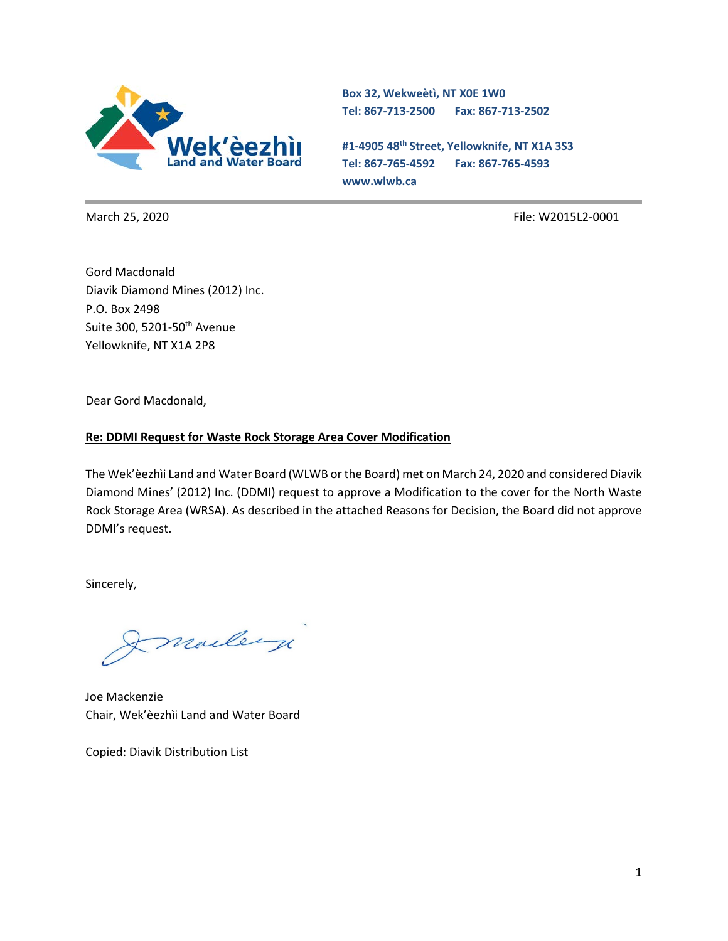

**Box 32, Wekweètì, NT X0E 1W0 Tel: 867-713-2500 Fax: 867-713-2502** 

**#1-4905 48th Street, Yellowknife, NT X1A 3S3 Tel: 867-765-4592 Fax: 867-765-4593 www.wlwb.ca**

March 25, 2020 File: W2015L2-0001

Gord Macdonald Diavik Diamond Mines (2012) Inc. P.O. Box 2498 Suite 300, 5201-50<sup>th</sup> Avenue Yellowknife, NT X1A 2P8

Dear Gord Macdonald,

#### **Re: DDMI Request for Waste Rock Storage Area Cover Modification**

The Wek'èezhìi Land and Water Board (WLWB or the Board) met on March 24, 2020 and considered Diavik Diamond Mines' (2012) Inc. (DDMI) request to approve a Modification to the cover for the North Waste Rock Storage Area (WRSA). As described in the attached Reasons for Decision, the Board did not approve DDMI's request.

Sincerely,

marley

Joe Mackenzie Chair, Wek'èezhìi Land and Water Board

Copied: Diavik Distribution List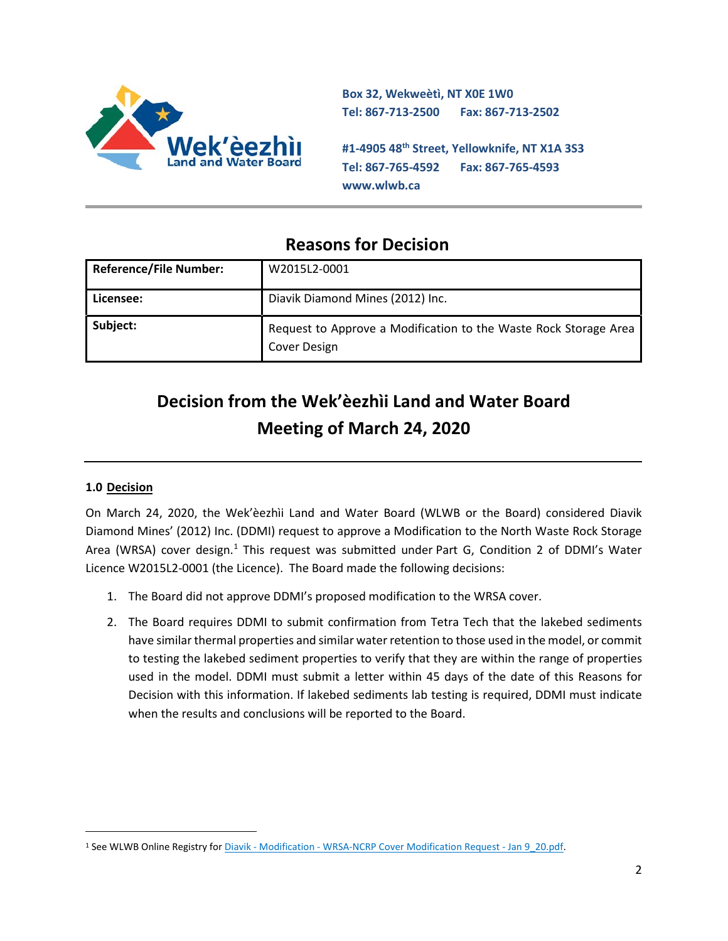

**Box 32, Wekweètì, NT X0E 1W0 Tel: 867-713-2500 Fax: 867-713-2502** 

**#1-4905 48th Street, Yellowknife, NT X1A 3S3 Tel: 867-765-4592 Fax: 867-765-4593 www.wlwb.ca**

# **Reasons for Decision**

| <b>Reference/File Number:</b> | W2015L2-0001                                                                     |
|-------------------------------|----------------------------------------------------------------------------------|
| Licensee:                     | Diavik Diamond Mines (2012) Inc.                                                 |
| Subject:                      | Request to Approve a Modification to the Waste Rock Storage Area<br>Cover Design |

# **Decision from the Wek'èezhìi Land and Water Board Meeting of March 24, 2020**

# **1.0 Decision**

On March 24, 2020, the Wek'èezhìi Land and Water Board (WLWB or the Board) considered Diavik Diamond Mines' (2012) Inc. (DDMI) request to approve a Modification to the North Waste Rock Storage Area (WRSA) cover design.<sup>[1](#page-1-0)</sup> This request was submitted under Part G, Condition 2 of DDMI's Water Licence W2015L2-0001 (the Licence). The Board made the following decisions:

- 1. The Board did not approve DDMI's proposed modification to the WRSA cover.
- 2. The Board requires DDMI to submit confirmation from Tetra Tech that the lakebed sediments have similar thermal properties and similar water retention to those used in the model, or commit to testing the lakebed sediment properties to verify that they are within the range of properties used in the model. DDMI must submit a letter within 45 days of the date of this Reasons for Decision with this information. If lakebed sediments lab testing is required, DDMI must indicate when the results and conclusions will be reported to the Board.

<span id="page-1-0"></span><sup>1</sup> See WLWB Online Registry for Diavik - Modification - [WRSA-NCRP Cover Modification Request -](http://registry.mvlwb.ca/Documents/W2015L2-0001/Diavik%20-%20Modification%20-%20WRSA-NCRP%20Cover%20Modification%20Request%20-%20Jan%209_20.pdf) Jan 9\_20.pdf.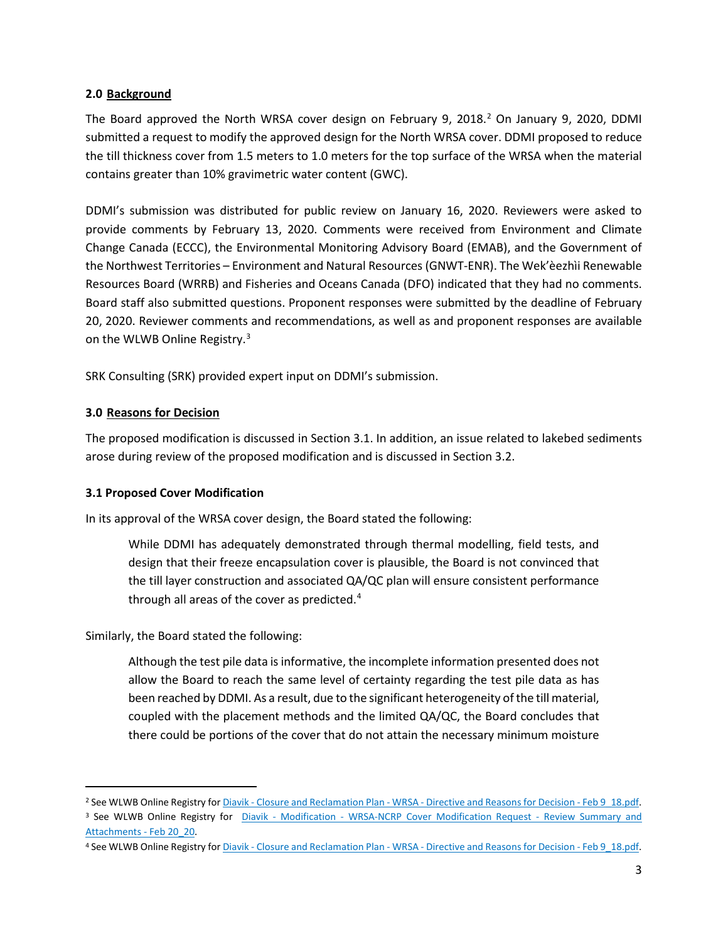#### **2.0 Background**

The Board approved the North WRSA cover design on February 9, [2](#page-2-0)018.<sup>2</sup> On January 9, 2020, DDMI submitted a request to modify the approved design for the North WRSA cover. DDMI proposed to reduce the till thickness cover from 1.5 meters to 1.0 meters for the top surface of the WRSA when the material contains greater than 10% gravimetric water content (GWC).

DDMI's submission was distributed for public review on January 16, 2020. Reviewers were asked to provide comments by February 13, 2020. Comments were received from Environment and Climate Change Canada (ECCC), the Environmental Monitoring Advisory Board (EMAB), and the Government of the Northwest Territories – Environment and Natural Resources (GNWT-ENR). The Wek'èezhìi Renewable Resources Board (WRRB) and Fisheries and Oceans Canada (DFO) indicated that they had no comments. Board staff also submitted questions. Proponent responses were submitted by the deadline of February 20, 2020. Reviewer comments and recommendations, as well as and proponent responses are available on the WLWB Online Registry.[3](#page-2-1)

SRK Consulting (SRK) provided expert input on DDMI's submission.

#### **3.0 Reasons for Decision**

The proposed modification is discussed in Section 3.1. In addition, an issue related to lakebed sediments arose during review of the proposed modification and is discussed in Section 3.2.

# **3.1 Proposed Cover Modification**

In its approval of the WRSA cover design, the Board stated the following:

While DDMI has adequately demonstrated through thermal modelling, field tests, and design that their freeze encapsulation cover is plausible, the Board is not convinced that the till layer construction and associated QA/QC plan will ensure consistent performance through all areas of the cover as predicted.<sup>[4](#page-2-2)</sup>

Similarly, the Board stated the following:

Although the test pile data is informative, the incomplete information presented does not allow the Board to reach the same level of certainty regarding the test pile data as has been reached by DDMI. As a result, due to the significant heterogeneity of the till material, coupled with the placement methods and the limited QA/QC, the Board concludes that there could be portions of the cover that do not attain the necessary minimum moisture

<span id="page-2-0"></span><sup>&</sup>lt;sup>2</sup> See WLWB Online Registry for *Diavik - Closure and Reclamation Plan - WRSA - [Directive and Reasons for Decision -](http://registry.mvlwb.ca/Documents/W2015L2-0001/Diavik%20-%20Closure%20and%20Reclamation%20Plan%20-%20WRSA%20-%20Directive%20and%20Reasons%20for%20Decision%20-%20Feb%209_18.pdf) Feb 9 18.pdf.* 

<span id="page-2-1"></span><sup>&</sup>lt;sup>3</sup> See WLWB Online Registry for Diavik - Modification - [WRSA-NCRP Cover Modification Request -](http://registry.mvlwb.ca/Documents/W2015L2-0001/Diavik%20-%20Modification%20-%20WRSA-NCRP%20Cover%20Modification%20Request%20-%20Review%20Summary%20and%20Attachments%20-%20Feb%2020_20.pdf) Review Summary and [Attachments](http://registry.mvlwb.ca/Documents/W2015L2-0001/Diavik%20-%20Modification%20-%20WRSA-NCRP%20Cover%20Modification%20Request%20-%20Review%20Summary%20and%20Attachments%20-%20Feb%2020_20.pdf) - Feb 20\_20.

<span id="page-2-2"></span><sup>4</sup> See WLWB Online Registry for Diavik - Closure and Reclamation Plan - WRSA - [Directive and Reasons for Decision -](http://registry.mvlwb.ca/Documents/W2015L2-0001/Diavik%20-%20Closure%20and%20Reclamation%20Plan%20-%20WRSA%20-%20Directive%20and%20Reasons%20for%20Decision%20-%20Feb%209_18.pdf) Feb 9\_18.pdf.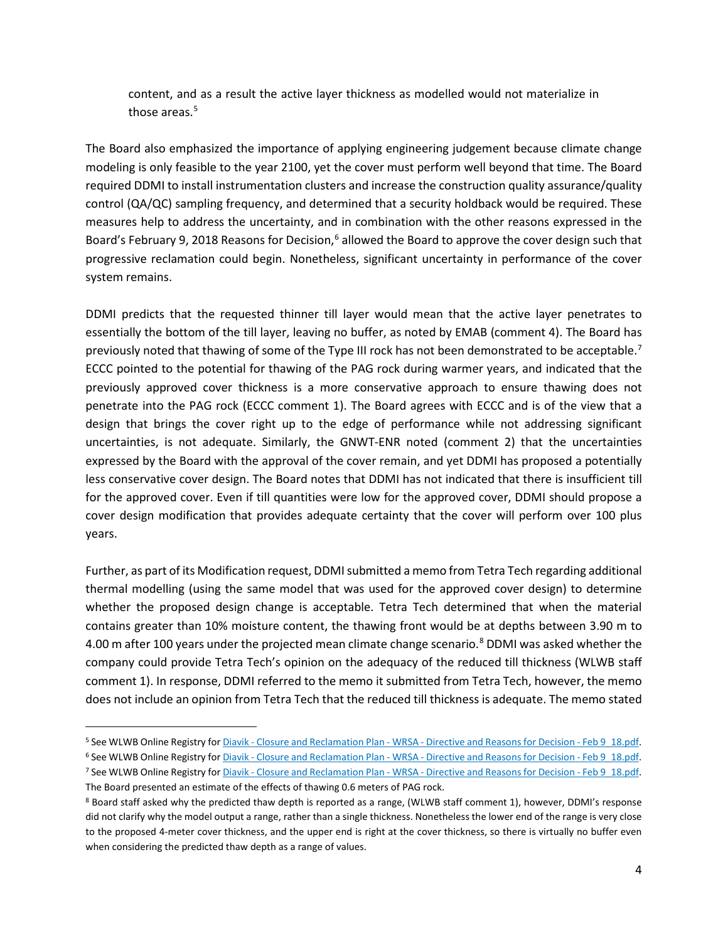content, and as a result the active layer thickness as modelled would not materialize in those areas.<sup>[5](#page-3-0)</sup>

The Board also emphasized the importance of applying engineering judgement because climate change modeling is only feasible to the year 2100, yet the cover must perform well beyond that time. The Board required DDMI to install instrumentation clusters and increase the construction quality assurance/quality control (QA/QC) sampling frequency, and determined that a security holdback would be required. These measures help to address the uncertainty, and in combination with the other reasons expressed in the Board's February 9, 2018 Reasons for Decision,<sup>[6](#page-3-1)</sup> allowed the Board to approve the cover design such that progressive reclamation could begin. Nonetheless, significant uncertainty in performance of the cover system remains.

DDMI predicts that the requested thinner till layer would mean that the active layer penetrates to essentially the bottom of the till layer, leaving no buffer, as noted by EMAB (comment 4). The Board has previously noted that thawing of some of the Type III rock has not been demonstrated to be acceptable.<sup>[7](#page-3-2)</sup> ECCC pointed to the potential for thawing of the PAG rock during warmer years, and indicated that the previously approved cover thickness is a more conservative approach to ensure thawing does not penetrate into the PAG rock (ECCC comment 1). The Board agrees with ECCC and is of the view that a design that brings the cover right up to the edge of performance while not addressing significant uncertainties, is not adequate. Similarly, the GNWT-ENR noted (comment 2) that the uncertainties expressed by the Board with the approval of the cover remain, and yet DDMI has proposed a potentially less conservative cover design. The Board notes that DDMI has not indicated that there is insufficient till for the approved cover. Even if till quantities were low for the approved cover, DDMI should propose a cover design modification that provides adequate certainty that the cover will perform over 100 plus years.

Further, as part of its Modification request, DDMI submitted a memo from Tetra Tech regarding additional thermal modelling (using the same model that was used for the approved cover design) to determine whether the proposed design change is acceptable. Tetra Tech determined that when the material contains greater than 10% moisture content, the thawing front would be at depths between 3.90 m to 4.00 m after 100 years under the projected mean climate change scenario.<sup>[8](#page-3-3)</sup> DDMI was asked whether the company could provide Tetra Tech's opinion on the adequacy of the reduced till thickness (WLWB staff comment 1). In response, DDMI referred to the memo it submitted from Tetra Tech, however, the memo does not include an opinion from Tetra Tech that the reduced till thickness is adequate. The memo stated

<span id="page-3-0"></span><sup>5</sup> See WLWB Online Registry for Diavik - Closure and Reclamation Plan - WRSA - [Directive and Reasons for Decision -](http://registry.mvlwb.ca/Documents/W2015L2-0001/Diavik%20-%20Closure%20and%20Reclamation%20Plan%20-%20WRSA%20-%20Directive%20and%20Reasons%20for%20Decision%20-%20Feb%209_18.pdf) Feb 9\_18.pdf.

<span id="page-3-1"></span><sup>6</sup> See WLWB Online Registry for Diavik - Closure and Reclamation Plan - WRSA - [Directive and Reasons for Decision -](http://registry.mvlwb.ca/Documents/W2015L2-0001/Diavik%20-%20Closure%20and%20Reclamation%20Plan%20-%20WRSA%20-%20Directive%20and%20Reasons%20for%20Decision%20-%20Feb%209_18.pdf) Feb 9\_18.pdf.

<span id="page-3-2"></span><sup>7</sup> See WLWB Online Registry for Diavik - Closure and Reclamation Plan - WRSA - [Directive and Reasons for Decision -](http://registry.mvlwb.ca/Documents/W2015L2-0001/Diavik%20-%20Closure%20and%20Reclamation%20Plan%20-%20WRSA%20-%20Directive%20and%20Reasons%20for%20Decision%20-%20Feb%209_18.pdf) Feb 9\_18.pdf. The Board presented an estimate of the effects of thawing 0.6 meters of PAG rock.

<span id="page-3-3"></span><sup>8</sup> Board staff asked why the predicted thaw depth is reported as a range, (WLWB staff comment 1), however, DDMI's response did not clarify why the model output a range, rather than a single thickness. Nonetheless the lower end of the range is very close to the proposed 4-meter cover thickness, and the upper end is right at the cover thickness, so there is virtually no buffer even when considering the predicted thaw depth as a range of values.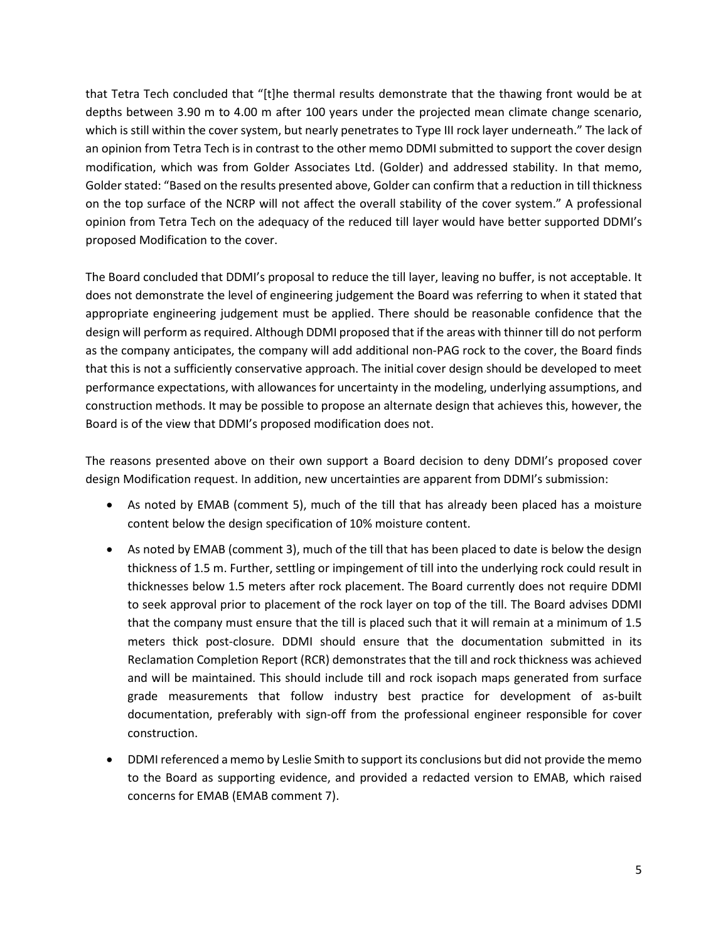that Tetra Tech concluded that "[t]he thermal results demonstrate that the thawing front would be at depths between 3.90 m to 4.00 m after 100 years under the projected mean climate change scenario, which is still within the cover system, but nearly penetrates to Type III rock layer underneath." The lack of an opinion from Tetra Tech is in contrast to the other memo DDMI submitted to support the cover design modification, which was from Golder Associates Ltd. (Golder) and addressed stability. In that memo, Golder stated: "Based on the results presented above, Golder can confirm that a reduction in till thickness on the top surface of the NCRP will not affect the overall stability of the cover system." A professional opinion from Tetra Tech on the adequacy of the reduced till layer would have better supported DDMI's proposed Modification to the cover.

The Board concluded that DDMI's proposal to reduce the till layer, leaving no buffer, is not acceptable. It does not demonstrate the level of engineering judgement the Board was referring to when it stated that appropriate engineering judgement must be applied. There should be reasonable confidence that the design will perform as required. Although DDMI proposed that if the areas with thinner till do not perform as the company anticipates, the company will add additional non-PAG rock to the cover, the Board finds that this is not a sufficiently conservative approach. The initial cover design should be developed to meet performance expectations, with allowances for uncertainty in the modeling, underlying assumptions, and construction methods. It may be possible to propose an alternate design that achieves this, however, the Board is of the view that DDMI's proposed modification does not.

The reasons presented above on their own support a Board decision to deny DDMI's proposed cover design Modification request. In addition, new uncertainties are apparent from DDMI's submission:

- As noted by EMAB (comment 5), much of the till that has already been placed has a moisture content below the design specification of 10% moisture content.
- As noted by EMAB (comment 3), much of the till that has been placed to date is below the design thickness of 1.5 m. Further, settling or impingement of till into the underlying rock could result in thicknesses below 1.5 meters after rock placement. The Board currently does not require DDMI to seek approval prior to placement of the rock layer on top of the till. The Board advises DDMI that the company must ensure that the till is placed such that it will remain at a minimum of 1.5 meters thick post-closure. DDMI should ensure that the documentation submitted in its Reclamation Completion Report (RCR) demonstrates that the till and rock thickness was achieved and will be maintained. This should include till and rock isopach maps generated from surface grade measurements that follow industry best practice for development of as-built documentation, preferably with sign-off from the professional engineer responsible for cover construction.
- DDMI referenced a memo by Leslie Smith to support its conclusions but did not provide the memo to the Board as supporting evidence, and provided a redacted version to EMAB, which raised concerns for EMAB (EMAB comment 7).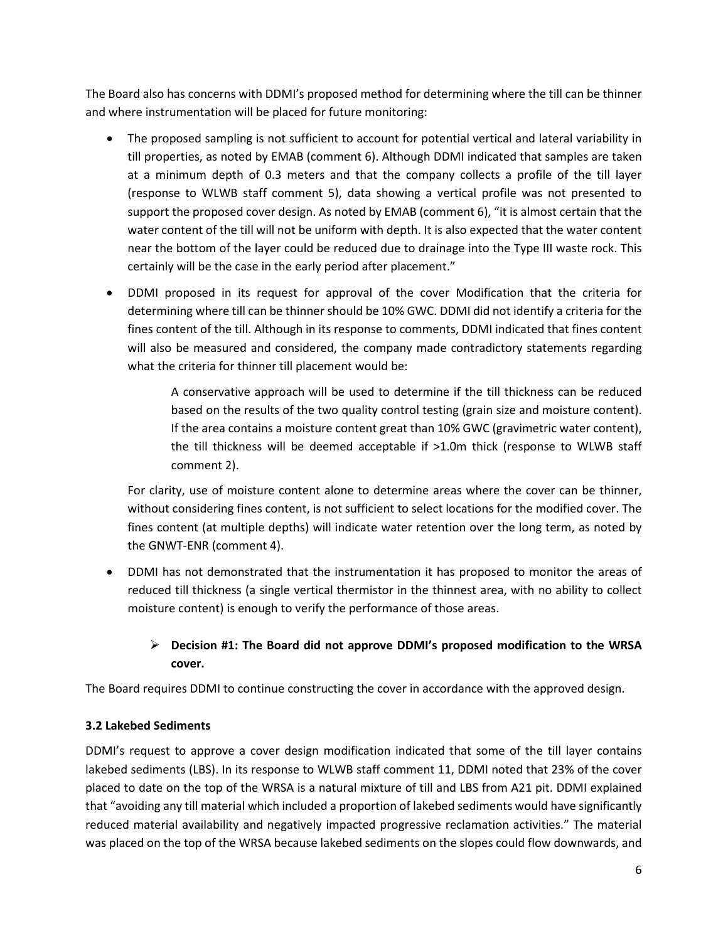The Board also has concerns with DDMI's proposed method for determining where the till can be thinner and where instrumentation will be placed for future monitoring:

- The proposed sampling is not sufficient to account for potential vertical and lateral variability in till properties, as noted by EMAB (comment 6). Although DDMI indicated that samples are taken at a minimum depth of 0.3 meters and that the company collects a profile of the till layer (response to WLWB staff comment 5), data showing a vertical profile was not presented to support the proposed cover design. As noted by EMAB (comment 6), "it is almost certain that the water content of the till will not be uniform with depth. It is also expected that the water content near the bottom of the layer could be reduced due to drainage into the Type III waste rock. This certainly will be the case in the early period after placement."
- DDMI proposed in its request for approval of the cover Modification that the criteria for determining where till can be thinner should be 10% GWC. DDMI did not identify a criteria for the fines content of the till. Although in its response to comments, DDMI indicated that fines content will also be measured and considered, the company made contradictory statements regarding what the criteria for thinner till placement would be:

A conservative approach will be used to determine if the till thickness can be reduced based on the results of the two quality control testing (grain size and moisture content). If the area contains a moisture content great than 10% GWC (gravimetric water content), the till thickness will be deemed acceptable if >1.0m thick (response to WLWB staff comment 2).

For clarity, use of moisture content alone to determine areas where the cover can be thinner, without considering fines content, is not sufficient to select locations for the modified cover. The fines content (at multiple depths) will indicate water retention over the long term, as noted by the GNWT-ENR (comment 4).

• DDMI has not demonstrated that the instrumentation it has proposed to monitor the areas of reduced till thickness (a single vertical thermistor in the thinnest area, with no ability to collect moisture content) is enough to verify the performance of those areas.

# **Decision #1: The Board did not approve DDMI's proposed modification to the WRSA cover.**

The Board requires DDMI to continue constructing the cover in accordance with the approved design.

# **3.2 Lakebed Sediments**

DDMI's request to approve a cover design modification indicated that some of the till layer contains lakebed sediments (LBS). In its response to WLWB staff comment 11, DDMI noted that 23% of the cover placed to date on the top of the WRSA is a natural mixture of till and LBS from A21 pit. DDMI explained that "avoiding any till material which included a proportion of lakebed sediments would have significantly reduced material availability and negatively impacted progressive reclamation activities." The material was placed on the top of the WRSA because lakebed sediments on the slopes could flow downwards, and